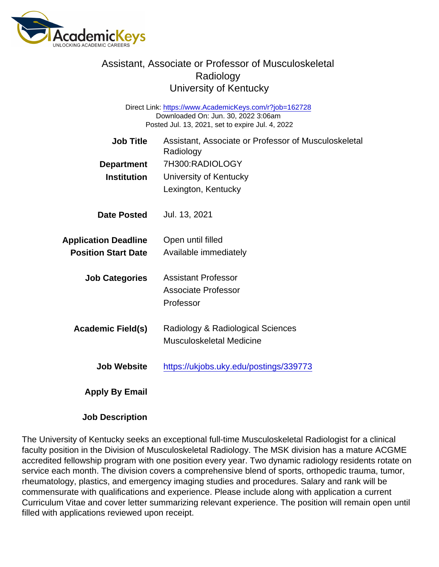## Assistant, Associate or Professor of Musculoskeletal Radiology University of Kentucky

Direct Link: <https://www.AcademicKeys.com/r?job=162728> Downloaded On: Jun. 30, 2022 3:06am Posted Jul. 13, 2021, set to expire Jul. 4, 2022

| <b>Job Title</b>            | Assistant, Associate or Professor of Musculoskeletal<br>Radiology |
|-----------------------------|-------------------------------------------------------------------|
| Department                  | 7H300:RADIOLOGY                                                   |
| Institution                 | University of Kentucky                                            |
|                             | Lexington, Kentucky                                               |
| Date Posted                 | Jul. 13, 2021                                                     |
| <b>Application Deadline</b> | Open until filled                                                 |
| <b>Position Start Date</b>  | Available immediately                                             |
| <b>Job Categories</b>       | <b>Assistant Professor</b>                                        |
|                             | <b>Associate Professor</b>                                        |
|                             | Professor                                                         |
| Academic Field(s)           | Radiology & Radiological Sciences                                 |
|                             | <b>Musculoskeletal Medicine</b>                                   |
| Job Website                 | https://ukjobs.uky.edu/postings/339773                            |
| Apply By Email              |                                                                   |

Job Description

The University of Kentucky seeks an exceptional full-time Musculoskeletal Radiologist for a clinical faculty position in the Division of Musculoskeletal Radiology. The MSK division has a mature ACGME accredited fellowship program with one position every year. Two dynamic radiology residents rotate on service each month. The division covers a comprehensive blend of sports, orthopedic trauma, tumor, rheumatology, plastics, and emergency imaging studies and procedures. Salary and rank will be commensurate with qualifications and experience. Please include along with application a current Curriculum Vitae and cover letter summarizing relevant experience. The position will remain open until filled with applications reviewed upon receipt.